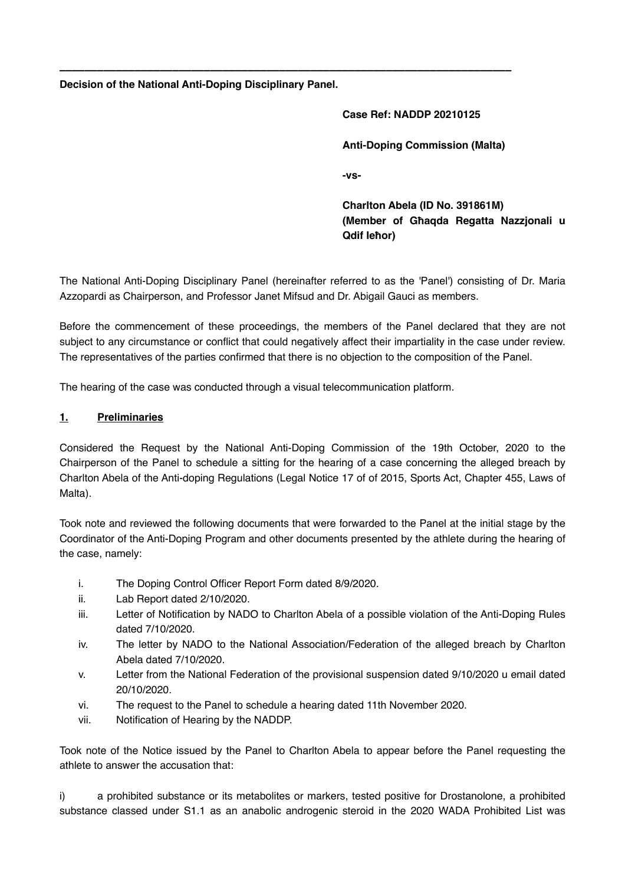**Decision of the National Anti-Doping Disciplinary Panel.**

# **Case Ref: NADDP 20210125 Anti-Doping Commission (Malta) -vs-**

**Charlton Abela (ID No. 391861M) (Member of Għaqda Regatta Nazzjonali u Qdif Ieħor)**

The National Anti-Doping Disciplinary Panel (hereinafter referred to as the 'Panel') consisting of Dr. Maria Azzopardi as Chairperson, and Professor Janet Mifsud and Dr. Abigail Gauci as members.

**\_\_\_\_\_\_\_\_\_\_\_\_\_\_\_\_\_\_\_\_\_\_\_\_\_\_\_\_\_\_\_\_\_\_\_\_\_\_\_\_\_\_\_\_\_\_\_\_\_\_\_\_\_\_\_\_\_\_\_\_\_\_\_\_\_\_\_\_\_\_\_\_**

Before the commencement of these proceedings, the members of the Panel declared that they are not subject to any circumstance or conflict that could negatively affect their impartiality in the case under review. The representatives of the parties confirmed that there is no objection to the composition of the Panel.

The hearing of the case was conducted through a visual telecommunication platform.

#### **1. Preliminaries**

Considered the Request by the National Anti-Doping Commission of the 19th October, 2020 to the Chairperson of the Panel to schedule a sitting for the hearing of a case concerning the alleged breach by Charlton Abela of the Anti-doping Regulations (Legal Notice 17 of of 2015, Sports Act, Chapter 455, Laws of Malta).

Took note and reviewed the following documents that were forwarded to the Panel at the initial stage by the Coordinator of the Anti-Doping Program and other documents presented by the athlete during the hearing of the case, namely:

- i. The Doping Control Officer Report Form dated 8/9/2020.
- ii. Lab Report dated 2/10/2020.
- iii. Letter of Notification by NADO to Charlton Abela of a possible violation of the Anti-Doping Rules dated 7/10/2020.
- iv. The letter by NADO to the National Association/Federation of the alleged breach by Charlton Abela dated 7/10/2020.
- v. Letter from the National Federation of the provisional suspension dated 9/10/2020 u email dated 20/10/2020.
- vi. The request to the Panel to schedule a hearing dated 11th November 2020.
- vii. Notification of Hearing by the NADDP.

Took note of the Notice issued by the Panel to Charlton Abela to appear before the Panel requesting the athlete to answer the accusation that:

i) a prohibited substance or its metabolites or markers, tested positive for Drostanolone, a prohibited substance classed under S1.1 as an anabolic androgenic steroid in the 2020 WADA Prohibited List was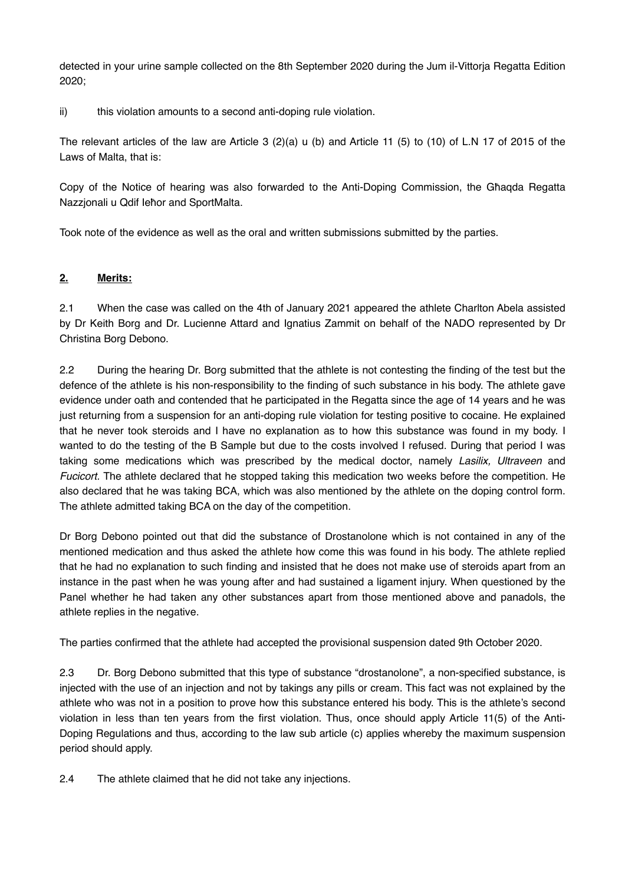detected in your urine sample collected on the 8th September 2020 during the Jum il-Vittorja Regatta Edition 2020;

ii) this violation amounts to a second anti-doping rule violation.

The relevant articles of the law are Article 3 (2)(a) u (b) and Article 11 (5) to (10) of L.N 17 of 2015 of the Laws of Malta, that is:

Copy of the Notice of hearing was also forwarded to the Anti-Doping Commission, the Għaqda Regatta Nazzjonali u Qdif Ieħor and SportMalta.

Took note of the evidence as well as the oral and written submissions submitted by the parties.

#### **2. Merits:**

2.1 When the case was called on the 4th of January 2021 appeared the athlete Charlton Abela assisted by Dr Keith Borg and Dr. Lucienne Attard and Ignatius Zammit on behalf of the NADO represented by Dr Christina Borg Debono.

2.2 During the hearing Dr. Borg submitted that the athlete is not contesting the finding of the test but the defence of the athlete is his non-responsibility to the finding of such substance in his body. The athlete gave evidence under oath and contended that he participated in the Regatta since the age of 14 years and he was just returning from a suspension for an anti-doping rule violation for testing positive to cocaine. He explained that he never took steroids and I have no explanation as to how this substance was found in my body. I wanted to do the testing of the B Sample but due to the costs involved I refused. During that period I was taking some medications which was prescribed by the medical doctor, namely *Lasilix, Ultraveen* and *Fucicort.* The athlete declared that he stopped taking this medication two weeks before the competition. He also declared that he was taking BCA, which was also mentioned by the athlete on the doping control form. The athlete admitted taking BCA on the day of the competition.

Dr Borg Debono pointed out that did the substance of Drostanolone which is not contained in any of the mentioned medication and thus asked the athlete how come this was found in his body. The athlete replied that he had no explanation to such finding and insisted that he does not make use of steroids apart from an instance in the past when he was young after and had sustained a ligament injury. When questioned by the Panel whether he had taken any other substances apart from those mentioned above and panadols, the athlete replies in the negative.

The parties confirmed that the athlete had accepted the provisional suspension dated 9th October 2020.

2.3 Dr. Borg Debono submitted that this type of substance "drostanolone", a non-specified substance, is injected with the use of an injection and not by takings any pills or cream. This fact was not explained by the athlete who was not in a position to prove how this substance entered his body. This is the athlete's second violation in less than ten years from the first violation. Thus, once should apply Article 11(5) of the Anti-Doping Regulations and thus, according to the law sub article (c) applies whereby the maximum suspension period should apply.

2.4 The athlete claimed that he did not take any injections.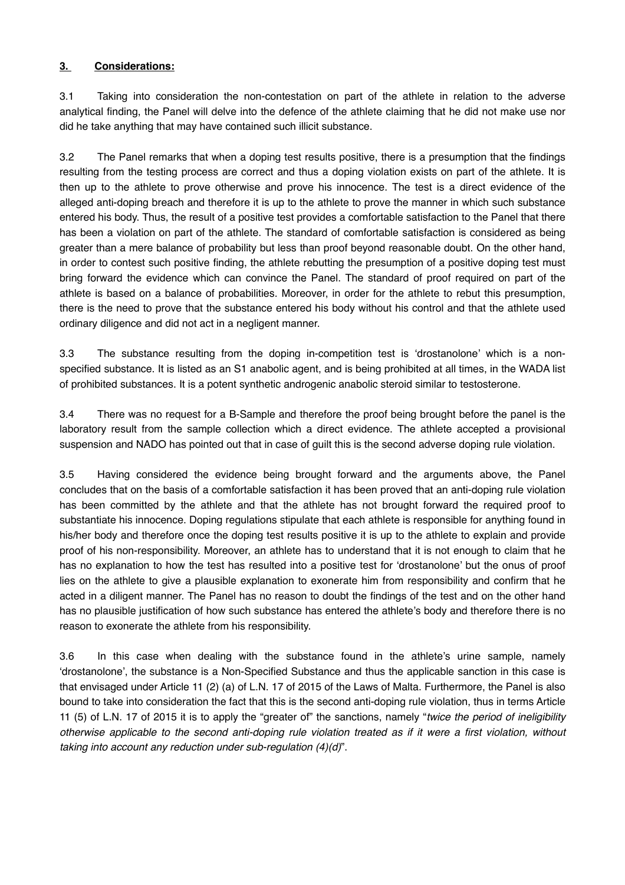## **3. Considerations:**

3.1 Taking into consideration the non-contestation on part of the athlete in relation to the adverse analytical finding, the Panel will delve into the defence of the athlete claiming that he did not make use nor did he take anything that may have contained such illicit substance.

3.2 The Panel remarks that when a doping test results positive, there is a presumption that the findings resulting from the testing process are correct and thus a doping violation exists on part of the athlete. It is then up to the athlete to prove otherwise and prove his innocence. The test is a direct evidence of the alleged anti-doping breach and therefore it is up to the athlete to prove the manner in which such substance entered his body. Thus, the result of a positive test provides a comfortable satisfaction to the Panel that there has been a violation on part of the athlete. The standard of comfortable satisfaction is considered as being greater than a mere balance of probability but less than proof beyond reasonable doubt. On the other hand, in order to contest such positive finding, the athlete rebutting the presumption of a positive doping test must bring forward the evidence which can convince the Panel. The standard of proof required on part of the athlete is based on a balance of probabilities. Moreover, in order for the athlete to rebut this presumption, there is the need to prove that the substance entered his body without his control and that the athlete used ordinary diligence and did not act in a negligent manner.

3.3 The substance resulting from the doping in-competition test is 'drostanolone' which is a nonspecified substance. It is listed as an S1 anabolic agent, and is being prohibited at all times, in the WADA list of prohibited substances. It is a potent synthetic androgenic anabolic steroid similar to testosterone.

3.4 There was no request for a B-Sample and therefore the proof being brought before the panel is the laboratory result from the sample collection which a direct evidence. The athlete accepted a provisional suspension and NADO has pointed out that in case of guilt this is the second adverse doping rule violation.

3.5 Having considered the evidence being brought forward and the arguments above, the Panel concludes that on the basis of a comfortable satisfaction it has been proved that an anti-doping rule violation has been committed by the athlete and that the athlete has not brought forward the required proof to substantiate his innocence. Doping regulations stipulate that each athlete is responsible for anything found in his/her body and therefore once the doping test results positive it is up to the athlete to explain and provide proof of his non-responsibility. Moreover, an athlete has to understand that it is not enough to claim that he has no explanation to how the test has resulted into a positive test for 'drostanolone' but the onus of proof lies on the athlete to give a plausible explanation to exonerate him from responsibility and confirm that he acted in a diligent manner. The Panel has no reason to doubt the findings of the test and on the other hand has no plausible justification of how such substance has entered the athlete's body and therefore there is no reason to exonerate the athlete from his responsibility.

3.6 In this case when dealing with the substance found in the athlete's urine sample, namely 'drostanolone', the substance is a Non-Specified Substance and thus the applicable sanction in this case is that envisaged under Article 11 (2) (a) of L.N. 17 of 2015 of the Laws of Malta. Furthermore, the Panel is also bound to take into consideration the fact that this is the second anti-doping rule violation, thus in terms Article 11 (5) of L.N. 17 of 2015 it is to apply the "greater of" the sanctions, namely "*twice the period of ineligibility otherwise applicable to the second anti-doping rule violation treated as if it were a first violation, without taking into account any reduction under sub-regulation (4)(d)*".